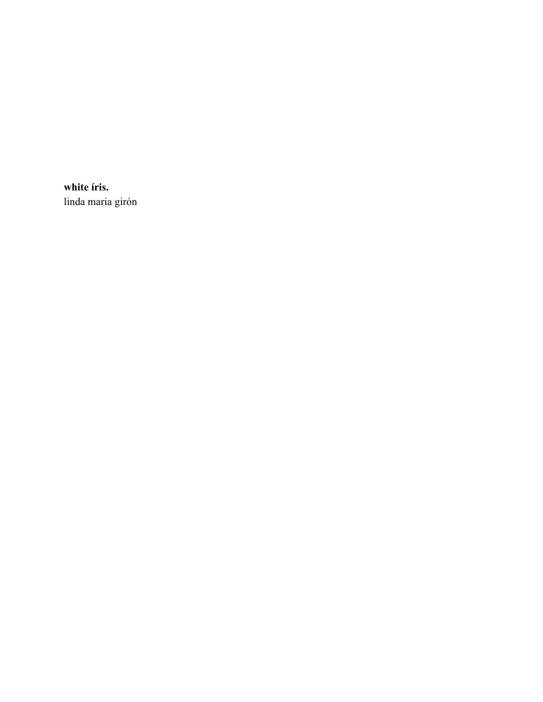**white íris.** linda maria girón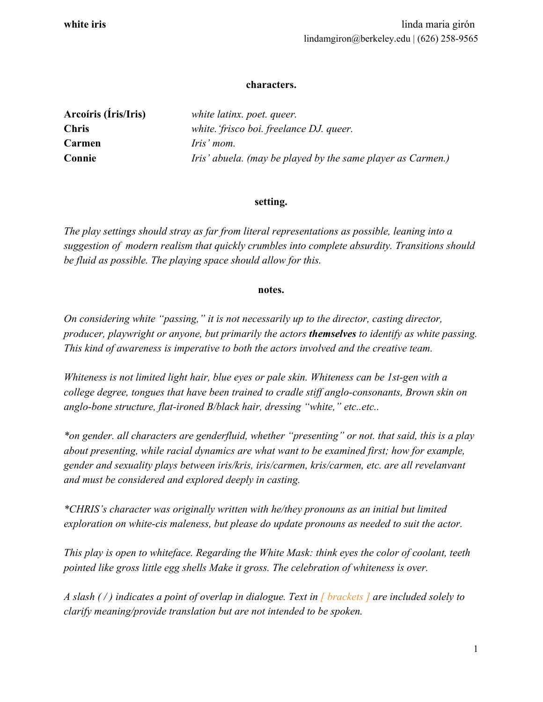## **characters.**

| Arcoíris (Íris/Iris) | white latinx. poet. queer.                                  |
|----------------------|-------------------------------------------------------------|
| <b>Chris</b>         | white. 'frisco boi. freelance DJ. queer.                    |
| Carmen               | <i>Iris'</i> mom.                                           |
| Connie               | Iris' abuela. (may be played by the same player as Carmen.) |

## **setting.**

*The play settings should stray as far from literal representations as possible, leaning into a suggestion of modern realism that quickly crumbles into complete absurdity. Transitions should be fluid as possible. The playing space should allow for this.*

## **notes.**

*On considering white "passing," it is not necessarily up to the director, casting director, producer, playwright or anyone, but primarily the actors themselves to identify as white passing. This kind of awareness is imperative to both the actors involved and the creative team.*

*Whiteness is not limited light hair, blue eyes or pale skin. Whiteness can be 1st-gen with a college degree, tongues that have been trained to cradle stiff anglo-consonants, Brown skin on anglo-bone structure, flat-ironed B/black hair, dressing "white," etc..etc..*

*\*on gender. all characters are genderfluid, whether "presenting" or not. that said, this is a play about presenting, while racial dynamics are what want to be examined first; how for example, gender and sexuality plays between iris/kris, iris/carmen, kris/carmen, etc. are all revelanvant and must be considered and explored deeply in casting.*

*\*CHRIS's character was originally written with he/they pronouns as an initial but limited exploration on white-cis maleness, but please do update pronouns as needed to suit the actor.*

*This play is open to whiteface. Regarding the White Mask: think eyes the color of coolant, teeth pointed like gross little egg shells Make it gross. The celebration of whiteness is over.*

*A slash ( / ) indicates a point of overlap in dialogue. Text in [ brackets ] are included solely to clarify meaning/provide translation but are not intended to be spoken.*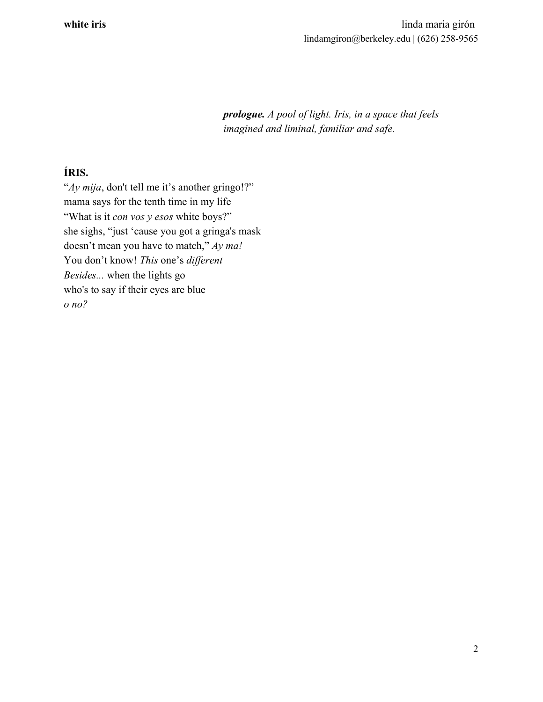*prologue. A pool of light. Iris, in a space that feels imagined and liminal, familiar and safe.*

## **ÍRIS.**

"*Ay mija*, don't tell me it's another gringo!?" mama says for the tenth time in my life "What is it *con vos y esos* white boys?" she sighs, "just 'cause you got a gringa's mask doesn't mean you have to match," *Ay ma!* You don't know! *This* one's *different Besides...* when the lights go who's to say if their eyes are blue *o no?*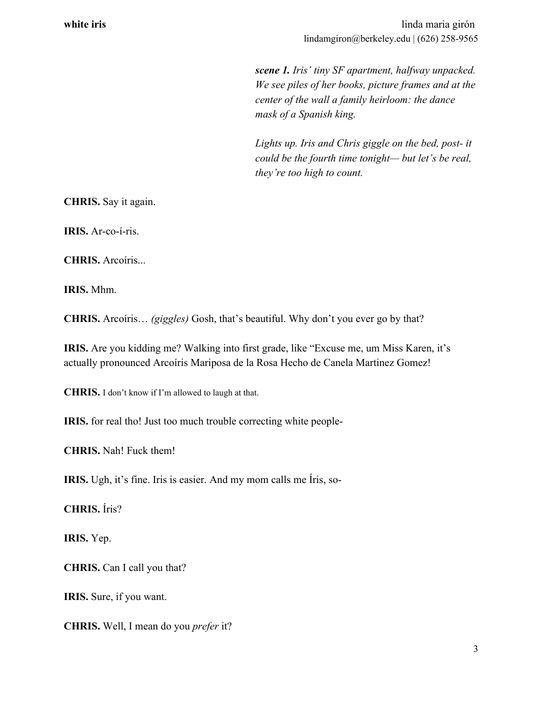*scene 1. Iris' tiny SF apartment, halfway unpacked. We see piles of her books, picture frames and at the center of the wall a family heirloom: the dance mask of a Spanish king.*

*Lights up. Iris and Chris giggle on the bed, post- it could be the fourth time tonight— but let's be real, they're too high to count.*

**CHRIS.** Say it again.

**IRIS.** Ar-co-í-ris.

**CHRIS.** Arcoíris...

**IRIS.** Mhm.

**CHRIS.** Arcoíris… *(giggles)* Gosh, that's beautiful. Why don't you ever go by that?

**IRIS.** Are you kidding me? Walking into first grade, like "Excuse me, um Miss Karen, it's actually pronounced Arcoíris Mariposa de la Rosa Hecho de Canela Martinez Gomez!

**CHRIS.** I don't know if I'm allowed to laugh at that.

**IRIS.** for real tho! Just too much trouble correcting white people-

**CHRIS.** Nah! Fuck them!

**IRIS.** Ugh, it's fine. Iris is easier. And my mom calls me Íris, so-

**CHRIS.** Íris?

**IRIS.** Yep.

**CHRIS.** Can I call you that?

**IRIS.** Sure, if you want.

**CHRIS.** Well, I mean do you *prefer* it?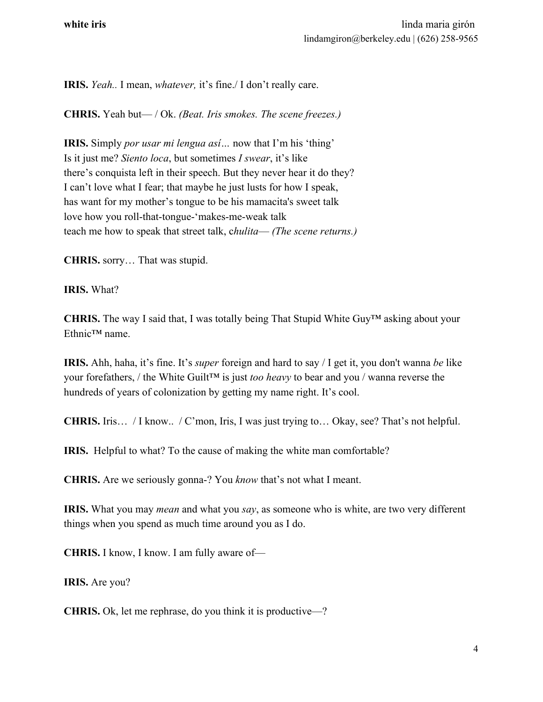**IRIS.** *Yeah..* I mean, *whatever,* it's fine./ I don't really care.

**CHRIS.** Yeah but— / Ok. *(Beat. Iris smokes. The scene freezes.)*

**IRIS.** Simply *por usar mi lengua así…* now that I'm his 'thing' Is it just me? *Siento loca*, but sometimes *I swear*, it's like there's conquista left in their speech. But they never hear it do they? I can't love what I fear; that maybe he just lusts for how I speak, has want for my mother's tongue to be his mamacita's sweet talk love how you roll-that-tongue-'makes-me-weak talk teach me how to speak that street talk, c*hulita*— *(The scene returns.)*

**CHRIS.** sorry… That was stupid.

**IRIS.** What?

**CHRIS.** The way I said that, I was totally being That Stupid White Guy™ asking about your Ethnic™ name.

**IRIS.** Ahh, haha, it's fine. It's *super* foreign and hard to say / I get it, you don't wanna *be* like your forefathers, / the White Guilt™ is just *too heavy* to bear and you / wanna reverse the hundreds of years of colonization by getting my name right. It's cool.

**CHRIS.** Iris… / I know.. / C'mon, Iris, I was just trying to… Okay, see? That's not helpful.

**IRIS.** Helpful to what? To the cause of making the white man comfortable?

**CHRIS.** Are we seriously gonna-? You *know* that's not what I meant.

**IRIS.** What you may *mean* and what you *say*, as someone who is white, are two very different things when you spend as much time around you as I do.

**CHRIS.** I know, I know. I am fully aware of—

**IRIS.** Are you?

**CHRIS.** Ok, let me rephrase, do you think it is productive—?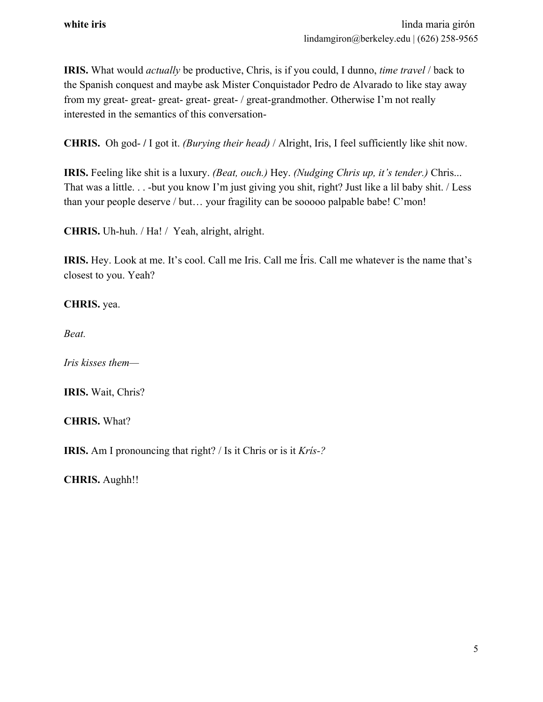**IRIS.** What would *actually* be productive, Chris, is if you could, I dunno, *time travel* / back to the Spanish conquest and maybe ask Mister Conquistador Pedro de Alvarado to like stay away from my great- great- great- great- great- / great-grandmother. Otherwise I'm not really interested in the semantics of this conversation-

**CHRIS.** Oh god- **/** I got it. *(Burying their head)* / Alright, Iris, I feel sufficiently like shit now.

**IRIS.** Feeling like shit is a luxury. *(Beat, ouch.)* Hey. *(Nudging Chris up, it's tender.)* Chris... That was a little. . . -but you know I'm just giving you shit, right? Just like a lil baby shit. / Less than your people deserve / but… your fragility can be sooooo palpable babe! C'mon!

**CHRIS.** Uh-huh. / Ha! / Yeah, alright, alright.

**IRIS.** Hey. Look at me. It's cool. Call me Iris. Call me Íris. Call me whatever is the name that's closest to you. Yeah?

**CHRIS.** yea.

*Beat.*

*Iris kisses them—*

**IRIS.** Wait, Chris?

**CHRIS.** What?

**IRIS.** Am I pronouncing that right? / Is it Chris or is it *Krís-?*

**CHRIS.** Aughh!!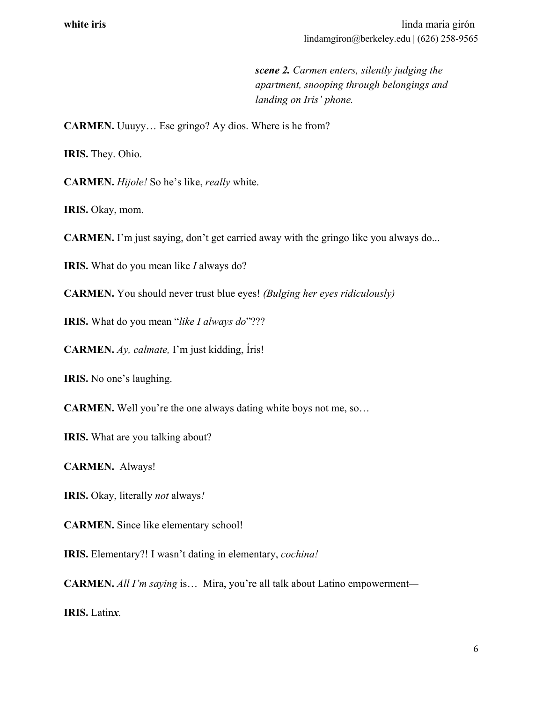*scene 2. Carmen enters, silently judging the apartment, snooping through belongings and landing on Iris' phone.*

**CARMEN.** Uuuyy… Ese gringo? Ay dios. Where is he from?

**IRIS.** They. Ohio.

**CARMEN.** *Hijole!* So he's like, *really* white.

IRIS. Okay, mom.

**CARMEN.** I'm just saying, don't get carried away with the gringo like you always do...

**IRIS.** What do you mean like *I* always do?

**CARMEN.** You should never trust blue eyes! *(Bulging her eyes ridiculously)*

**IRIS.** What do you mean "*like I always do*"???

**CARMEN.** *Ay, calmate,* I'm just kidding, Íris!

**IRIS.** No one's laughing.

**CARMEN.** Well you're the one always dating white boys not me, so…

**IRIS.** What are you talking about?

**CARMEN.** Always!

**IRIS.** Okay, literally *not* always*!*

**CARMEN.** Since like elementary school!

**IRIS.** Elementary?! I wasn't dating in elementary, *cochina!*

**CARMEN.** *All I'm saying* is… Mira, you're all talk about Latino empowerment*—*

**IRIS.** Latin*x.*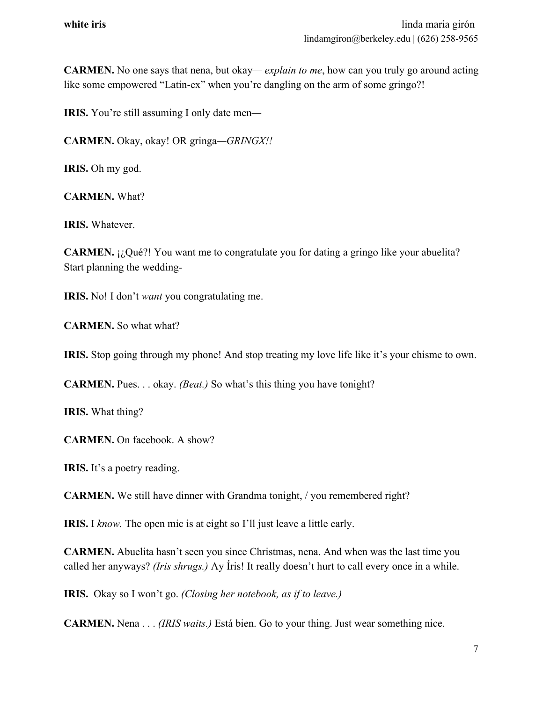**CARMEN.** No one says that nena, but okay*— explain to me*, how can you truly go around acting like some empowered "Latin-ex" when you're dangling on the arm of some gringo?!

**IRIS.** You're still assuming I only date men*—*

**CARMEN.** Okay, okay! OR gringa*—GRINGX!!*

**IRIS.** Oh my god.

**CARMEN.** What?

**IRIS.** Whatever.

**CARMEN.** ¡¿Qué?! You want me to congratulate you for dating a gringo like your abuelita? Start planning the wedding-

**IRIS.** No! I don't *want* you congratulating me.

**CARMEN.** So what what?

**IRIS.** Stop going through my phone! And stop treating my love life like it's your chisme to own.

**CARMEN.** Pues. . . okay. *(Beat.)* So what's this thing you have tonight?

**IRIS.** What thing?

**CARMEN.** On facebook. A show?

**IRIS.** It's a poetry reading.

**CARMEN.** We still have dinner with Grandma tonight, / you remembered right?

**IRIS.** I *know.* The open mic is at eight so I'll just leave a little early.

**CARMEN.** Abuelita hasn't seen you since Christmas, nena. And when was the last time you called her anyways? *(Iris shrugs.)* Ay Íris! It really doesn't hurt to call every once in a while.

**IRIS.** Okay so I won't go. *(Closing her notebook, as if to leave.)*

**CARMEN.** Nena . . . *(IRIS waits.)* Está bien. Go to your thing. Just wear something nice.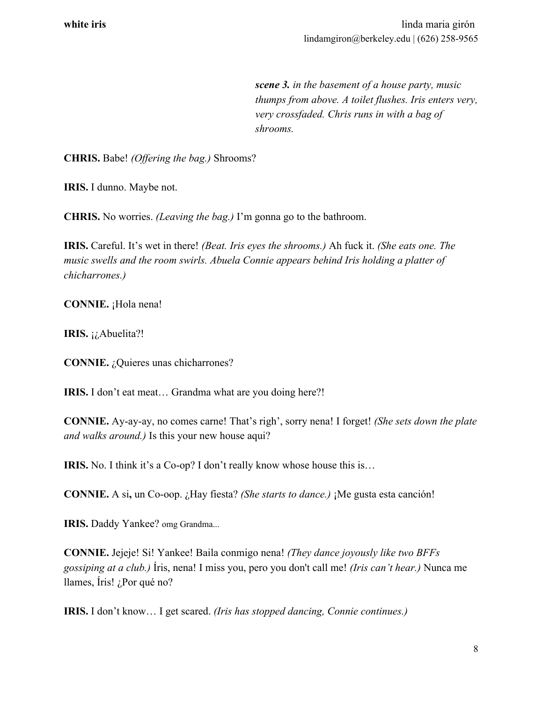*scene 3. in the basement of a house party, music thumps from above. A toilet flushes. Iris enters very, very crossfaded. Chris runs in with a bag of shrooms.*

**CHRIS.** Babe! *(Offering the bag.)* Shrooms?

**IRIS.** I dunno. Maybe not.

**CHRIS.** No worries. *(Leaving the bag.)* I'm gonna go to the bathroom.

**IRIS.** Careful. It's wet in there! *(Beat. Iris eyes the shrooms.)* Ah fuck it. *(She eats one. The music swells and the room swirls. Abuela Connie appears behind Iris holding a platter of chicharrones.)*

**CONNIE.** ¡Hola nena!

**IRIS.** ¡¿Abuelita?!

**CONNIE.** *i*, Quieres unas chicharrones?

**IRIS.** I don't eat meat… Grandma what are you doing here?!

**CONNIE.** Ay-ay-ay, no comes carne! That's righ', sorry nena! I forget! *(She sets down the plate and walks around.)* Is this your new house aqui?

**IRIS.** No. I think it's a Co-op? I don't really know whose house this is...

**CONNIE.** A si**,** un Co-oop. ¿Hay fiesta? *(She starts to dance.)* ¡Me gusta esta canción!

**IRIS.** Daddy Yankee? omg Grandma...

**CONNIE.** Jejeje! Si! Yankee! Baila conmigo nena! *(They dance joyously like two BFFs gossiping at a club.)* Íris, nena! I miss you, pero you don't call me! *(Iris can't hear.)* Nunca me llames, Íris! ¿Por qué no?

**IRIS.** I don't know… I get scared. *(Iris has stopped dancing, Connie continues.)*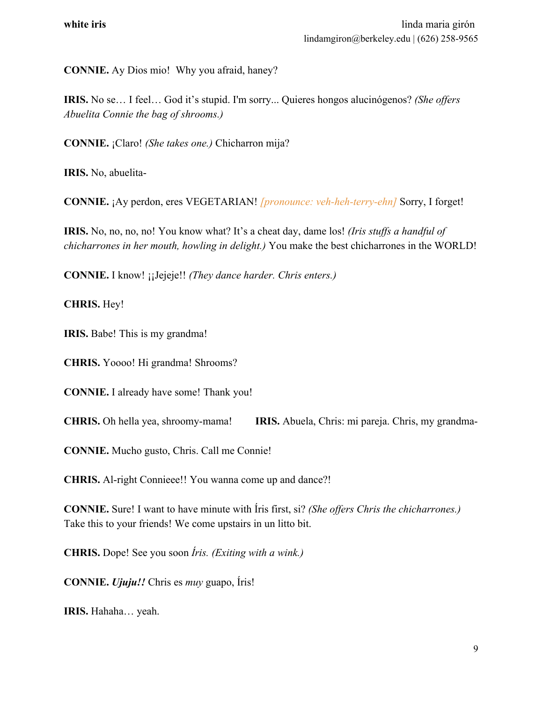**CONNIE.** Ay Dios mio! Why you afraid, haney?

**IRIS.** No se… I feel… God it's stupid. I'm sorry... Quieres hongos alucinógenos? *(She offers Abuelita Connie the bag of shrooms.)*

**CONNIE.** ¡Claro! *(She takes one.)* Chicharron mija?

**IRIS.** No, abuelita-

**CONNIE.** ¡Ay perdon, eres VEGETARIAN! *[pronounce: veh-heh-terry-ehn]* Sorry, I forget!

**IRIS.** No, no, no, no! You know what? It's a cheat day, dame los! *(Iris stuffs a handful of chicharrones in her mouth, howling in delight.)* You make the best chicharrones in the WORLD!

**CONNIE.** I know! ¡¡Jejeje!! *(They dance harder. Chris enters.)*

**CHRIS.** Hey!

**IRIS.** Babe! This is my grandma!

**CHRIS.** Yoooo! Hi grandma! Shrooms?

**CONNIE.** I already have some! Thank you!

**CHRIS.** Oh hella yea, shroomy-mama! **IRIS.** Abuela, Chris: mi pareja. Chris, my grandma-

**CONNIE.** Mucho gusto, Chris. Call me Connie!

**CHRIS.** Al-right Connieee!! You wanna come up and dance?!

**CONNIE.** Sure! I want to have minute with Íris first, si? *(She offers Chris the chicharrones.)* Take this to your friends! We come upstairs in un litto bit.

**CHRIS.** Dope! See you soon *Íris. (Exiting with a wink.)*

**CONNIE.** *Ujuju!!* Chris es *muy* guapo, Íris!

**IRIS.** Hahaha… yeah.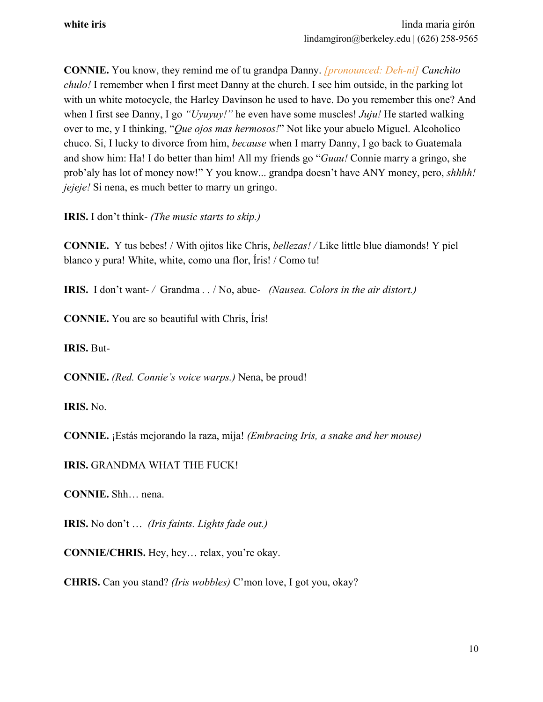**CONNIE.** You know, they remind me of tu grandpa Danny. *[pronounced: Deh-ni] Canchito chulo!* I remember when I first meet Danny at the church. I see him outside, in the parking lot with un white motocycle, the Harley Davinson he used to have. Do you remember this one? And when I first see Danny, I go *"Uyuyuy!"* he even have some muscles! *Juju!* He started walking over to me, y I thinking, "*Que ojos mas hermosos!*" Not like your abuelo Miguel. Alcoholico chuco. Si, I lucky to divorce from him, *because* when I marry Danny, I go back to Guatemala and show him: Ha! I do better than him! All my friends go "*Guau!* Connie marry a gringo, she prob'aly has lot of money now!" Y you know... grandpa doesn't have ANY money, pero, *shhhh! jejeje!* Si nena, es much better to marry un gringo.

**IRIS.** I don't think*- (The music starts to skip.)*

**CONNIE.** Y tus bebes! / With ojitos like Chris, *bellezas! /* Like little blue diamonds! Y piel blanco y pura! White, white, como una flor, Íris! / Como tu!

**IRIS.**I don't want*- /* Grandma *. .* / No, abue*- (Nausea. Colors in the air distort.)*

**CONNIE.** You are so beautiful with Chris, Íris!

**IRIS.** But-

**CONNIE.** *(Red. Connie's voice warps.)* Nena, be proud!

**IRIS.** No.

**CONNIE.** ¡Estás mejorando la raza, mija! *(Embracing Iris, a snake and her mouse)*

**IRIS.** GRANDMA WHAT THE FUCK!

**CONNIE.** Shh… nena.

**IRIS.** No don't … *(Iris faints. Lights fade out.)*

**CONNIE/CHRIS.** Hey, hey… relax, you're okay.

**CHRIS.** Can you stand? *(Iris wobbles)* C'mon love, I got you, okay?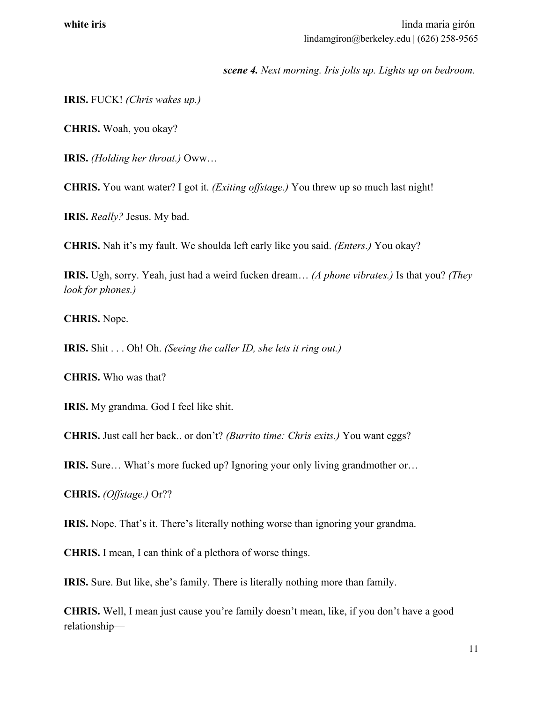*scene 4. Next morning. Iris jolts up. Lights up on bedroom.*

**IRIS.** FUCK! *(Chris wakes up.)*

**CHRIS.** Woah, you okay?

**IRIS.** *(Holding her throat.)* Oww…

**CHRIS.** You want water? I got it. *(Exiting offstage.)* You threw up so much last night!

**IRIS.** *Really?* Jesus. My bad.

**CHRIS.** Nah it's my fault. We shoulda left early like you said. *(Enters.)* You okay?

**IRIS.** Ugh, sorry. Yeah, just had a weird fucken dream… *(A phone vibrates.)* Is that you? *(They look for phones.)*

**CHRIS.** Nope.

**IRIS.** Shit . . . Oh! Oh. *(Seeing the caller ID, she lets it ring out.)*

**CHRIS.** Who was that?

**IRIS.** My grandma. God I feel like shit.

**CHRIS.** Just call her back.. or don't? *(Burrito time: Chris exits.)* You want eggs?

**IRIS.** Sure… What's more fucked up? Ignoring your only living grandmother or…

**CHRIS.** *(Offstage.)* Or??

**IRIS.** Nope. That's it. There's literally nothing worse than ignoring your grandma.

**CHRIS.** I mean, I can think of a plethora of worse things.

**IRIS.** Sure. But like, she's family. There is literally nothing more than family.

**CHRIS.** Well, I mean just cause you're family doesn't mean, like, if you don't have a good relationship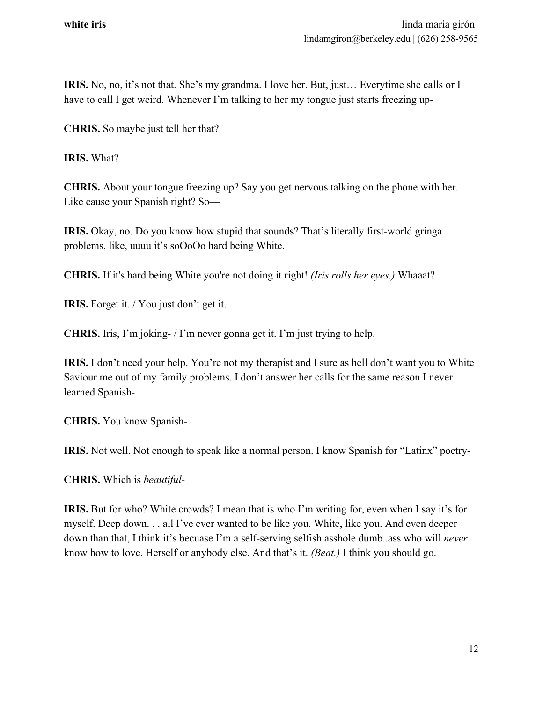**IRIS.** No, no, it's not that. She's my grandma. I love her. But, just… Everytime she calls or I have to call I get weird. Whenever I'm talking to her my tongue just starts freezing up-

**CHRIS.** So maybe just tell her that?

**IRIS.** What?

**CHRIS.** About your tongue freezing up? Say you get nervous talking on the phone with her. Like cause your Spanish right? So—

**IRIS.** Okay, no. Do you know how stupid that sounds? That's literally first-world gringa problems, like, uuuu it's soOoOo hard being White.

**CHRIS.** If it's hard being White you're not doing it right! *(Iris rolls her eyes.)* Whaaat?

**IRIS.** Forget it. / You just don't get it.

**CHRIS.** Iris, I'm joking- / I'm never gonna get it. I'm just trying to help.

**IRIS.** I don't need your help. You're not my therapist and I sure as hell don't want you to White Saviour me out of my family problems. I don't answer her calls for the same reason I never learned Spanish-

**CHRIS.** You know Spanish-

**IRIS.** Not well. Not enough to speak like a normal person. I know Spanish for "Latinx" poetry-

**CHRIS.** Which is *beautiful-*

**IRIS.** But for who? White crowds? I mean that is who I'm writing for, even when I say it's for myself. Deep down. . . all I've ever wanted to be like you. White, like you. And even deeper down than that, I think it's becuase I'm a self-serving selfish asshole dumb..ass who will *never* know how to love. Herself or anybody else. And that's it. *(Beat.)* I think you should go.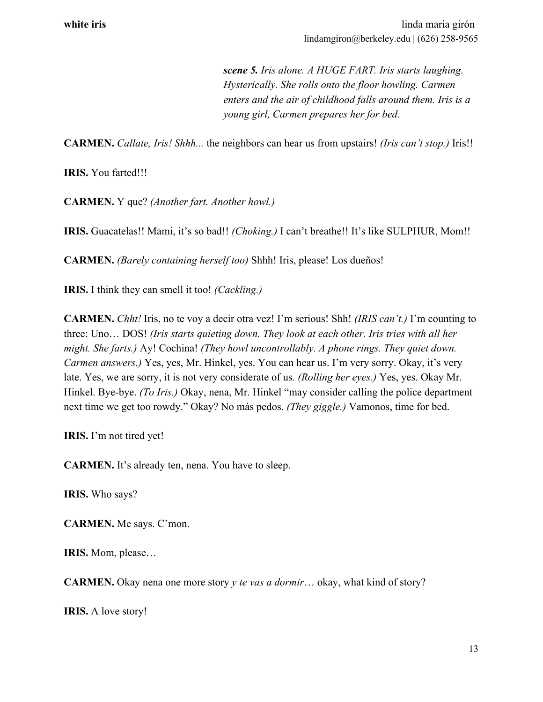*scene 5. Iris alone. A HUGE FART. Iris starts laughing. Hysterically. She rolls onto the floor howling. Carmen enters and the air of childhood falls around them. Iris is a young girl, Carmen prepares her for bed.*

**CARMEN.** *Callate, Iris! Shhh...* the neighbors can hear us from upstairs! *(Iris can't stop.)* Iris!!

**IRIS.** You farted!!!

**CARMEN.** Y que? *(Another fart. Another howl.)*

**IRIS.** Guacatelas!! Mami, it's so bad!! *(Choking.)* I can't breathe!! It's like SULPHUR, Mom!!

**CARMEN.** *(Barely containing herself too)* Shhh! Iris, please! Los dueños!

**IRIS.** I think they can smell it too! *(Cackling.)*

**CARMEN.** *Chht!* Iris, no te voy a decir otra vez! I'm serious! Shh! *(IRIS can't.)* I'm counting to three: Uno… DOS! *(Iris starts quieting down. They look at each other. Iris tries with all her might. She farts.)* Ay! Cochina! *(They howl uncontrollably. A phone rings. They quiet down. Carmen answers.)* Yes, yes, Mr. Hinkel, yes. You can hear us. I'm very sorry. Okay, it's very late. Yes, we are sorry, it is not very considerate of us. *(Rolling her eyes.)* Yes, yes. Okay Mr. Hinkel. Bye-bye. *(To Iris.)* Okay, nena, Mr. Hinkel "may consider calling the police department next time we get too rowdy." Okay? No más pedos. *(They giggle.)* Vamonos, time for bed.

**IRIS.** I'm not tired yet!

**CARMEN.** It's already ten, nena. You have to sleep.

**IRIS.** Who says?

**CARMEN.** Me says. C'mon.

**IRIS.** Mom, please…

**CARMEN.** Okay nena one more story *y te vas a dormir*… okay, what kind of story?

**IRIS.** A love story!